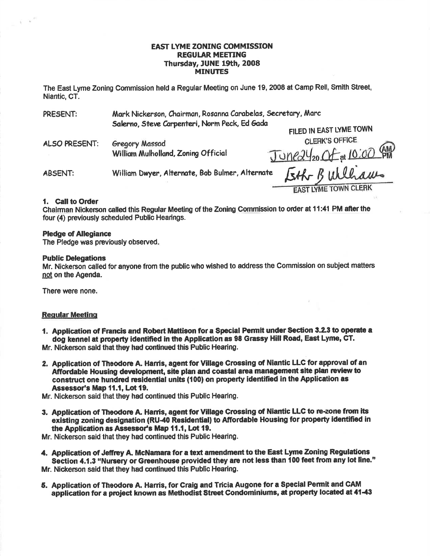#### **EAST LYME ZONING COMMISSION REGULAR MEETING** Thursday, JUNE 19th, 2008 **MINUTES**

The East Lyme Zoning Commission held a Regular Meeting on June 19, 2008 at Camp Rell, Smith Street. Niantic. CT.

| PRESENT:       | Mark Nickerson, Chairman, Rosanna Carabelas, Secretary, Marc |                             |
|----------------|--------------------------------------------------------------|-----------------------------|
|                | Salerno, Steve Carpenteri, Norm Peck, Ed Gada                | FILED IN EAST LYME TOWN     |
| ALSO PRESENT:  | <b>Gregory Massad</b><br>William Mulholland, Zoning Official | <b>CLERK'S OFFICE</b>       |
|                |                                                              | Juneay20 Of at 10:00 AM     |
| <b>ABSENT:</b> | William Dwyer, Alternate, Bob Bulmer, Alternate              | Eth Bulliams                |
|                |                                                              | <b>EAST LYME TOWN CLERK</b> |

1. Call to Order

 $\tilde{\chi} = 10^{-17}$ 

Chairman Nickerson called this Regular Meeting of the Zoning Commission to order at 11:41 PM after the four (4) previously scheduled Public Hearings.

#### **Pledge of Allegiance**

The Pledge was previously observed.

#### **Public Delegations**

Mr. Nickerson called for anyone from the public who wished to address the Commission on subject matters not on the Agenda.

There were none.

#### **Regular Meeting**

- 1. Application of Francis and Robert Mattison for a Special Permit under Section 3.2.3 to operate a dog kennel at property identified in the Application as 98 Grassy Hill Road, East Lyme. CT. Mr. Nickerson said that they had continued this Public Hearing.
- 2. Application of Theodore A. Harris, agent for Village Crossing of Niantic LLC for approval of an Affordable Housing development, site plan and coastal area management site plan review to construct one hundred residential units (100) on property identified in the Application as Assessor's Map 11.1. Lot 19.

Mr. Nickerson said that they had continued this Public Hearing.

3. Application of Theodore A. Harris, agent for Village Crossing of Niantic LLC to re-zone from its existing zoning designation (RU-40 Residential) to Affordable Housing for property identified in the Application as Assessor's Map 11.1, Lot 19.

Mr. Nickerson said that they had continued this Public Hearing.

- 4. Application of Jeffrey A. McNamara for a text amendment to the East Lyme Zoning Regulations Section 4.1.3 "Nursery or Greenhouse provided they are not less than 100 feet from any lot line." Mr. Nickerson said that they had continued this Public Hearing.
- 5. Application of Theodore A. Harris, for Craig and Tricia Augone for a Special Permit and CAM application for a project known as Methodist Street Condominiums, at property located at 41-43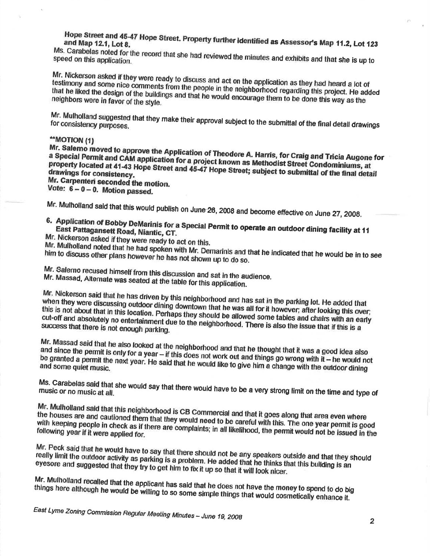Hope Street and 45-47 Hope Street. Property further identified as Assessor's Map 11.2, Lot 123

Ms. Carabelas noted for the record that she had reviewed the minutes and exhibits and that she is up to speed on this application.

Mr. Nickerson asked if they were ready to discuss and act on the application as they had heard a lot of testimony and some nice comments from the people in the neighborhood regarding this project. He added that he liked the design of the buildings and that he would encourage them to be done this way as the neighbors were in favor of the style.

Mr. Mulholland suggested that they make their approval subject to the submittal of the final detail drawings

## \*\*MOTION (1)

Mr. Salemo moved to approve the Application of Theodore A. Harris, for Craig and Tricia Augone for a Special Permit and CAM application for a project known as Methodist Street Condominiums, at property located at 41-43 Hope Street and 45-47 Hope Street; subject to submittal of the final detail Mr. Carpenteri seconded the motion.

Vote:  $6 - 0 - 0$ . Motion passed.

Mr. Mulholland said that this would publish on June-26, 2008 and become effective on June 27, 2008.

6. Application of Bobby DeMarinis for a Special Permit to operate an outdoor dining facility at 11 East Pattagansett Road, Niantic, CT.

Mr. Nickerson asked if they were ready to act on this.

Mr. Mulholland noted that he had spoken with Mr. Demarinis and that he indicated that he would be in to see him to discuss other plans however he has not shown up to do so.

Mr. Salemo recused himself from this discussion and sat in the audience. Mr. Massad, Alternate was seated at the table for this application.

Mr. Nickerson said that he has driven by this neighborhood and has sat in the parking lot. He added that when they were discussing outdoor dining downtown that he was all for it however; after looking this over; this is not about that in this location. Perhaps they should be allowed some tables and chairs with an early

cut-off and absolutely no entertainment due to the neighbornood. There is also the issue that if this is a success that there is not enough parking.

Mr. Massad said that he also looked at the neighborhood and that he thought that it was a good idea also and since the permit is only for a year  $-$  if this does not work out and things go wrong with it  $-$  he would not be granted a permit the next year. He said that he would like to give him a change with the outdoor dining

Ms. Carabelas said that she would say that there would have to be a very strong limit on the time and type of

Mr. Mulholland said that this neighborhood is CB Commercial and that it goes along that area even where the houses are and cautioned them that they would need to be careful with this. The one year permit is good with keeping people in check as if there are complaints; in all likelihood, the permit would not be issued in the

Mr. Peck said that he would have to say that there should not be any speakers outside and that they should really limit the outdoor activity as parking is a problem. He added that he thinks that this building is an eyesore and suggested that they try to get him to fix it up so that it will look nicer.

Mr. Mulholland recalled that the applicant has said that he does not have the money to spend to do big things here although he would be willing to so some simple things that would cosmetically enhance it.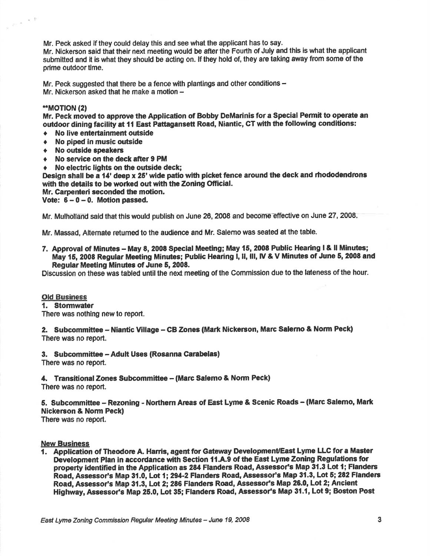Mr. Peck asked if they could delay this and see what the applicant has to say.

Mr. Nickerson said that their next meeting would be after the Fourth of July and this is what the applicant submifted and it is what they should be acting on. lf they hold of, they are taking away from some of the prime outdoor time.

Mr. Peck suggested that there be a fence with plantings and other conditions  $-$ Mr. Nickerson asked that he make a motion  $-$ 

### \*.MOT!ON (2)

天津

 $\sim$   $^{\circ}$ 

Mr. Peck moved to apprcve the Application of Bobby DeMarinis for a Special Permit to operate an outdoor dining facility at 11 East Pattagansett Road, Niantic, CT with the following conditions:

- $\triangleleft$  No live entertainment outside
- No piped in music outside
- $\div$  No outside speakers
- $\arrow$  No service on the deck after 9 PM
- No electric lights on the outside deck;

Design shall be a 14' deep x 25' wide patio with picket fence around the deck and rhododendrons with the details to be worked out with the Zoning Official.

Mr. Carpenteri seconded the motion.

Vote:  $6 - 0 - 0$ . Motion passed.

Mr. Mulholland said that this would publish on June 26, 2008 and become effective on June 27, 2008.

Mr. Massad, Altemate retumed to the audience and Mr. Salemo was seated at the table.

7. Approval of Minutes - May 8, 2008 Special Meeting; May 15, 2008 Public Hearing I & II Minutes; May 15, 2008 Regular Meeting Minutes; Public Hearing l, ll, lll, lV & V Minutes of June 5, 2008 and Regular Meeting Minutes of June 5, 2008.

Discussion on these was tabled until the next meeting of the Commission due to the lateness of the hour.

#### **Old Business**

#### 1, \$tormwater

There was nothing new to report.

2. Subcommittee - Niantic Village - CB Zones (Mark Nickerson, Marc Salerno & Norm Peck) There was no report.

3. Subcommittee - Adult Uses (Rosanna Carabelas)

There was no report.

4. Transitional Zones Subcommittee – (Marc Salemo & Norm Peck)

There was no report.

5. Subcommittee – Rezoning - Northern Areas of East Lyme & Scenic Roads – (Marc Salemo, Mark Nickerson & Norm Peck)

There was no report.

#### **New Business**

1. Application of Theodore A. Harris, agent for Gateway Development/East Lyme LLC for a Master Development Plan in accordance with Section 11.A.9 of the East Lyme Zoning Regulations for property identified in the Application as 284 Flanders Road, Assessor's Map 31.3 Lot 1; Flanders Road, Assessor's Map 31.0, Lot 1; 294-2 Flanders Road, Assessor's Map 31.3, Lot 5; 282 Flanders Road, Assessor's Map 31.3, Lot 2; 286 Flanders Road, Assessor's Map 26.0, Lot 2; Ancient Highway, Assessor's Map 25.0, Lot 35; Flanders Road, Assessor's Map 31.1, Lot 9; Boston Post